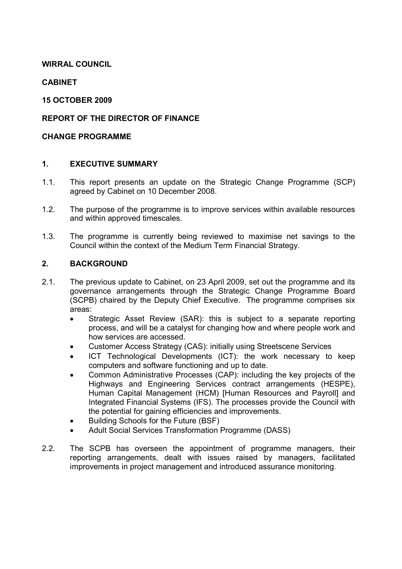#### WIRRAL COUNCIL

### **CABINET**

### 15 OCTOBER 2009

### REPORT OF THE DIRECTOR OF FINANCE

#### CHANGE PROGRAMME

#### 1. EXECUTIVE SUMMARY

- 1.1. This report presents an update on the Strategic Change Programme (SCP) agreed by Cabinet on 10 December 2008.
- 1.2. The purpose of the programme is to improve services within available resources and within approved timescales.
- 1.3. The programme is currently being reviewed to maximise net savings to the Council within the context of the Medium Term Financial Strategy.

#### 2. BACKGROUND

- 2.1. The previous update to Cabinet, on 23 April 2009, set out the programme and its governance arrangements through the Strategic Change Programme Board (SCPB) chaired by the Deputy Chief Executive. The programme comprises six areas:
	- Strategic Asset Review (SAR): this is subject to a separate reporting process, and will be a catalyst for changing how and where people work and how services are accessed.
	- Customer Access Strategy (CAS): initially using Streetscene Services
	- ICT Technological Developments (ICT): the work necessary to keep computers and software functioning and up to date.
	- Common Administrative Processes (CAP): including the key projects of the Highways and Engineering Services contract arrangements (HESPE), Human Capital Management (HCM) [Human Resources and Payroll] and Integrated Financial Systems (IFS). The processes provide the Council with the potential for gaining efficiencies and improvements.
	- Building Schools for the Future (BSF)
	- Adult Social Services Transformation Programme (DASS)
- 2.2. The SCPB has overseen the appointment of programme managers, their reporting arrangements, dealt with issues raised by managers, facilitated improvements in project management and introduced assurance monitoring.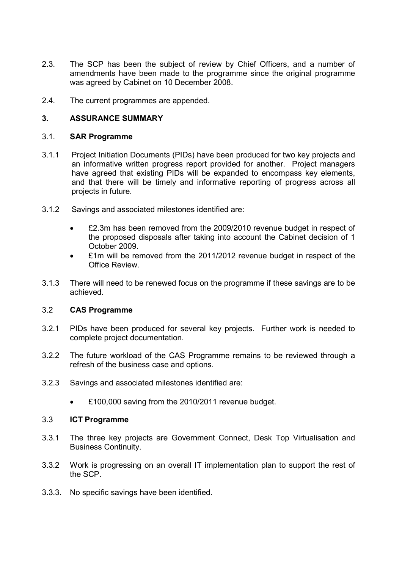- 2.3. The SCP has been the subject of review by Chief Officers, and a number of amendments have been made to the programme since the original programme was agreed by Cabinet on 10 December 2008.
- 2.4. The current programmes are appended.

#### 3. ASSURANCE SUMMARY

#### 3.1. SAR Programme

- 3.1.1 Project Initiation Documents (PIDs) have been produced for two key projects and an informative written progress report provided for another. Project managers have agreed that existing PIDs will be expanded to encompass key elements, and that there will be timely and informative reporting of progress across all projects in future.
- 3.1.2 Savings and associated milestones identified are:
	- £2.3m has been removed from the 2009/2010 revenue budget in respect of the proposed disposals after taking into account the Cabinet decision of 1 October 2009.
	- £1m will be removed from the 2011/2012 revenue budget in respect of the Office Review.
- 3.1.3 There will need to be renewed focus on the programme if these savings are to be achieved.

#### 3.2 CAS Programme

- 3.2.1 PIDs have been produced for several key projects. Further work is needed to complete project documentation.
- 3.2.2 The future workload of the CAS Programme remains to be reviewed through a refresh of the business case and options.
- 3.2.3 Savings and associated milestones identified are:
	- £100,000 saving from the 2010/2011 revenue budget.

#### 3.3 ICT Programme

- 3.3.1 The three key projects are Government Connect, Desk Top Virtualisation and Business Continuity.
- 3.3.2 Work is progressing on an overall IT implementation plan to support the rest of the SCP.
- 3.3.3. No specific savings have been identified.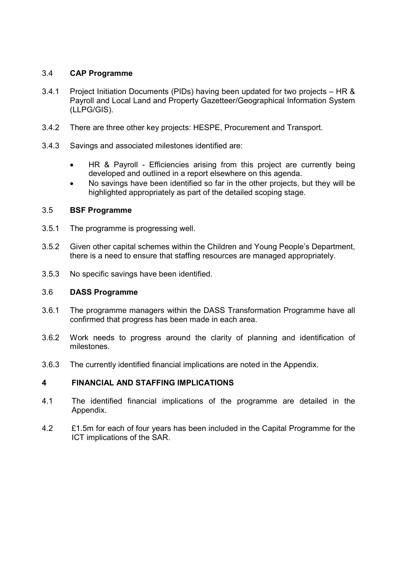### 3.4 CAP Programme

- 3.4.1 Project Initiation Documents (PIDs) having been updated for two projects HR & Payroll and Local Land and Property Gazetteer/Geographical Information System (LLPG/GIS).
- 3.4.2 There are three other key projects: HESPE, Procurement and Transport.
- 3.4.3 Savings and associated milestones identified are:
	- HR & Payroll Efficiencies arising from this project are currently being developed and outlined in a report elsewhere on this agenda.
	- No savings have been identified so far in the other projects, but they will be highlighted appropriately as part of the detailed scoping stage.

### 3.5 BSF Programme

- 3.5.1 The programme is progressing well.
- 3.5.2 Given other capital schemes within the Children and Young People's Department, there is a need to ensure that staffing resources are managed appropriately.
- 3.5.3 No specific savings have been identified.

#### 3.6 DASS Programme

- 3.6.1 The programme managers within the DASS Transformation Programme have all confirmed that progress has been made in each area.
- 3.6.2 Work needs to progress around the clarity of planning and identification of milestones.
- 3.6.3 The currently identified financial implications are noted in the Appendix.

#### 4 FINANCIAL AND STAFFING IMPLICATIONS

- 4.1 The identified financial implications of the programme are detailed in the Appendix.
- 4.2 £1.5m for each of four years has been included in the Capital Programme for the ICT implications of the SAR.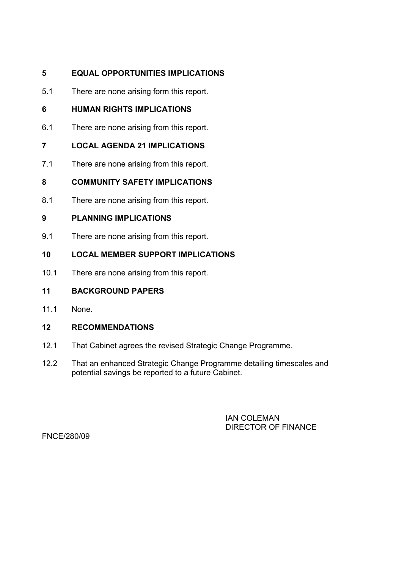## 5 EQUAL OPPORTUNITIES IMPLICATIONS

5.1 There are none arising form this report.

## 6 HUMAN RIGHTS IMPLICATIONS

6.1 There are none arising from this report.

### 7 LOCAL AGENDA 21 IMPLICATIONS

7.1 There are none arising from this report.

## 8 COMMUNITY SAFETY IMPLICATIONS

8.1 There are none arising from this report.

### 9 PLANNING IMPLICATIONS

9.1 There are none arising from this report.

### 10 LOCAL MEMBER SUPPORT IMPLICATIONS

10.1 There are none arising from this report.

#### 11 BACKGROUND PAPERS

11.1 None.

#### 12 RECOMMENDATIONS

- 12.1 That Cabinet agrees the revised Strategic Change Programme.
- 12.2 That an enhanced Strategic Change Programme detailing timescales and potential savings be reported to a future Cabinet.

IAN COLEMAN DIRECTOR OF FINANCE

FNCE/280/09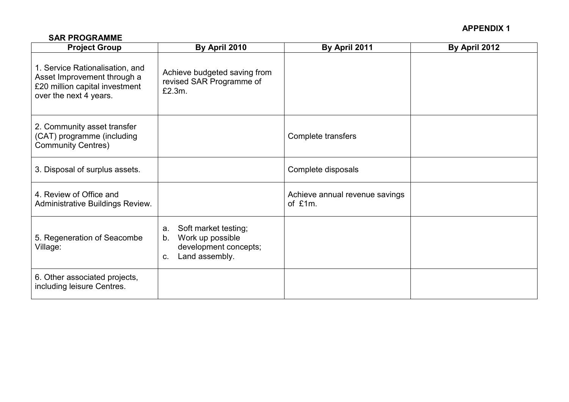# SAR PROGRAMME

| <b>Project Group</b>                                                                                                       | By April 2010                                                                                                     | By April 2011                             | By April 2012 |
|----------------------------------------------------------------------------------------------------------------------------|-------------------------------------------------------------------------------------------------------------------|-------------------------------------------|---------------|
| 1. Service Rationalisation, and<br>Asset Improvement through a<br>£20 million capital investment<br>over the next 4 years. | Achieve budgeted saving from<br>revised SAR Programme of<br>£2.3m.                                                |                                           |               |
| 2. Community asset transfer<br>(CAT) programme (including<br><b>Community Centres)</b>                                     |                                                                                                                   | Complete transfers                        |               |
| 3. Disposal of surplus assets.                                                                                             |                                                                                                                   | Complete disposals                        |               |
| 4. Review of Office and<br>Administrative Buildings Review.                                                                |                                                                                                                   | Achieve annual revenue savings<br>of £1m. |               |
| 5. Regeneration of Seacombe<br>Village:                                                                                    | Soft market testing;<br>а.<br>Work up possible<br>b.<br>development concepts;<br>Land assembly.<br>$\mathsf{C}$ . |                                           |               |
| 6. Other associated projects,<br>including leisure Centres.                                                                |                                                                                                                   |                                           |               |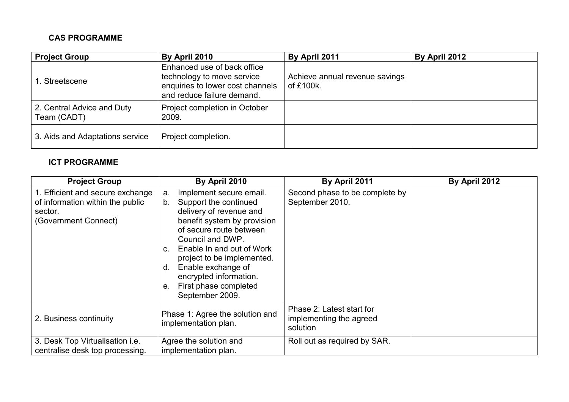# CAS PROGRAMME

| <b>Project Group</b>                      | By April 2010                                                                                                               | By April 2011                               | By April 2012 |
|-------------------------------------------|-----------------------------------------------------------------------------------------------------------------------------|---------------------------------------------|---------------|
| 1. Streetscene                            | Enhanced use of back office<br>technology to move service<br>enquiries to lower cost channels<br>and reduce failure demand. | Achieve annual revenue savings<br>of £100k. |               |
| 2. Central Advice and Duty<br>Team (CADT) | Project completion in October<br>2009.                                                                                      |                                             |               |
| 3. Aids and Adaptations service           | Project completion.                                                                                                         |                                             |               |

# ICT PROGRAMME

| <b>Project Group</b>                                                                                    | By April 2010                                                                                                                                                                                                                                                                                                                                              | By April 2011                                                    | By April 2012 |
|---------------------------------------------------------------------------------------------------------|------------------------------------------------------------------------------------------------------------------------------------------------------------------------------------------------------------------------------------------------------------------------------------------------------------------------------------------------------------|------------------------------------------------------------------|---------------|
| 1. Efficient and secure exchange<br>of information within the public<br>sector.<br>(Government Connect) | Implement secure email.<br>a.<br>Support the continued<br>b.<br>delivery of revenue and<br>benefit system by provision<br>of secure route between<br>Council and DWP.<br>Enable In and out of Work<br>$\mathbf{C}$ .<br>project to be implemented.<br>Enable exchange of<br>d.<br>encrypted information.<br>First phase completed<br>е.<br>September 2009. | Second phase to be complete by<br>September 2010.                |               |
| 2. Business continuity                                                                                  | Phase 1: Agree the solution and<br>implementation plan.                                                                                                                                                                                                                                                                                                    | Phase 2: Latest start for<br>implementing the agreed<br>solution |               |
| 3. Desk Top Virtualisation i.e.<br>centralise desk top processing.                                      | Agree the solution and<br>implementation plan.                                                                                                                                                                                                                                                                                                             | Roll out as required by SAR.                                     |               |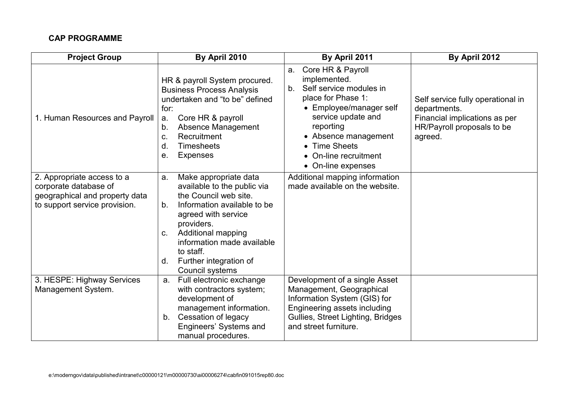### CAP PROGRAMME

| <b>Project Group</b>                                                                                                   | By April 2010                                                                                                                                                                                                                                                                                           | By April 2011                                                                                                                                                                                                                                               | By April 2012                                                                                                               |
|------------------------------------------------------------------------------------------------------------------------|---------------------------------------------------------------------------------------------------------------------------------------------------------------------------------------------------------------------------------------------------------------------------------------------------------|-------------------------------------------------------------------------------------------------------------------------------------------------------------------------------------------------------------------------------------------------------------|-----------------------------------------------------------------------------------------------------------------------------|
| 1. Human Resources and Payroll                                                                                         | HR & payroll System procured.<br><b>Business Process Analysis</b><br>undertaken and "to be" defined<br>for:<br>Core HR & payroll<br>a.<br>Absence Management<br>b.<br>Recruitment<br>C.<br><b>Timesheets</b><br>d.<br><b>Expenses</b><br>е.                                                             | Core HR & Payroll<br>a.<br>implemented.<br>Self service modules in<br>$b_{\cdot}$<br>place for Phase 1:<br>• Employee/manager self<br>service update and<br>reporting<br>• Absence management<br>• Time Sheets<br>On-line recruitment<br>• On-line expenses | Self service fully operational in<br>departments.<br>Financial implications as per<br>HR/Payroll proposals to be<br>agreed. |
| 2. Appropriate access to a<br>corporate database of<br>geographical and property data<br>to support service provision. | Make appropriate data<br>a.<br>available to the public via<br>the Council web site.<br>Information available to be<br>$b_{\cdot}$<br>agreed with service<br>providers.<br><b>Additional mapping</b><br>C.<br>information made available<br>to staff.<br>Further integration of<br>d.<br>Council systems | Additional mapping information<br>made available on the website.                                                                                                                                                                                            |                                                                                                                             |
| 3. HESPE: Highway Services<br>Management System.                                                                       | Full electronic exchange<br>a.<br>with contractors system;<br>development of<br>management information.<br>Cessation of legacy<br>b.<br>Engineers' Systems and<br>manual procedures.                                                                                                                    | Development of a single Asset<br>Management, Geographical<br>Information System (GIS) for<br>Engineering assets including<br>Gullies, Street Lighting, Bridges<br>and street furniture.                                                                     |                                                                                                                             |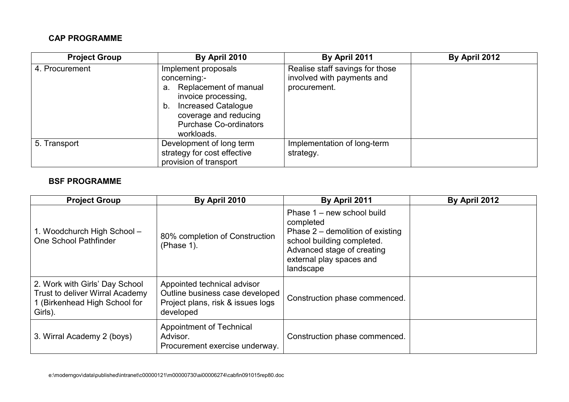### CAP PROGRAMME

| <b>Project Group</b> | By April 2010                                                                                                                                                                                      | By April 2011                                                                 | By April 2012 |
|----------------------|----------------------------------------------------------------------------------------------------------------------------------------------------------------------------------------------------|-------------------------------------------------------------------------------|---------------|
| 4. Procurement       | Implement proposals<br>concerning:-<br>a. Replacement of manual<br>invoice processing,<br><b>Increased Catalogue</b><br>b.<br>coverage and reducing<br><b>Purchase Co-ordinators</b><br>workloads. | Realise staff savings for those<br>involved with payments and<br>procurement. |               |
| 5. Transport         | Development of long term<br>strategy for cost effective<br>provision of transport                                                                                                                  | Implementation of long-term<br>strategy.                                      |               |

### BSF PROGRAMME

| <b>Project Group</b>                                                                                          | By April 2010                                                                                                    | By April 2011                                                                                                                                                                      | By April 2012 |
|---------------------------------------------------------------------------------------------------------------|------------------------------------------------------------------------------------------------------------------|------------------------------------------------------------------------------------------------------------------------------------------------------------------------------------|---------------|
| 1. Woodchurch High School -<br>One School Pathfinder                                                          | 80% completion of Construction<br>(Phase 1).                                                                     | Phase 1 – new school build<br>completed<br>Phase $2$ – demolition of existing<br>school building completed.<br>Advanced stage of creating<br>external play spaces and<br>landscape |               |
| 2. Work with Girls' Day School<br>Trust to deliver Wirral Academy<br>1 (Birkenhead High School for<br>Girls). | Appointed technical advisor<br>Outline business case developed<br>Project plans, risk & issues logs<br>developed | Construction phase commenced.                                                                                                                                                      |               |
| 3. Wirral Academy 2 (boys)                                                                                    | Appointment of Technical<br>Advisor.<br>Procurement exercise underway.                                           | Construction phase commenced.                                                                                                                                                      |               |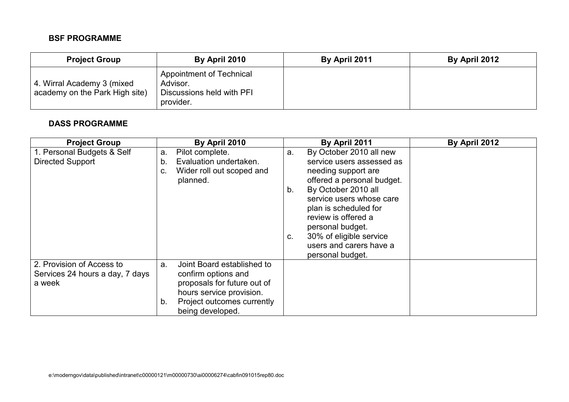### BSF PROGRAMME

| <b>Project Group</b>                                         | By April 2010                                                                  | By April 2011 | By April 2012 |
|--------------------------------------------------------------|--------------------------------------------------------------------------------|---------------|---------------|
| 4. Wirral Academy 3 (mixed<br>academy on the Park High site) | Appointment of Technical<br>Advisor.<br>Discussions held with PFI<br>provider. |               |               |

### DASS PROGRAMME

| <b>Project Group</b>                                                   | By April 2010                                                                                                                                                                          | By April 2011                                                                                                                                                                                                                                                                                                                | By April 2012 |
|------------------------------------------------------------------------|----------------------------------------------------------------------------------------------------------------------------------------------------------------------------------------|------------------------------------------------------------------------------------------------------------------------------------------------------------------------------------------------------------------------------------------------------------------------------------------------------------------------------|---------------|
| 1. Personal Budgets & Self<br><b>Directed Support</b>                  | Pilot complete.<br>a.<br>Evaluation undertaken.<br>b.<br>Wider roll out scoped and<br>C.<br>planned.                                                                                   | By October 2010 all new<br>a.<br>service users assessed as<br>needing support are<br>offered a personal budget.<br>By October 2010 all<br>b.<br>service users whose care<br>plan is scheduled for<br>review is offered a<br>personal budget.<br>30% of eligible service<br>C.<br>users and carers have a<br>personal budget. |               |
| 2. Provision of Access to<br>Services 24 hours a day, 7 days<br>a week | Joint Board established to<br>a <sub>1</sub><br>confirm options and<br>proposals for future out of<br>hours service provision.<br>Project outcomes currently<br>b.<br>being developed. |                                                                                                                                                                                                                                                                                                                              |               |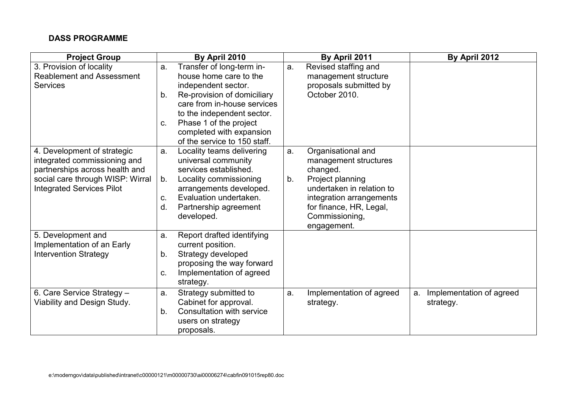## DASS PROGRAMME

| <b>Project Group</b>                                                                                                                                                  | By April 2010                                                                                                                                                                                                                                                                  | By April 2011                                                                                                                                                                                                | By April 2012                               |
|-----------------------------------------------------------------------------------------------------------------------------------------------------------------------|--------------------------------------------------------------------------------------------------------------------------------------------------------------------------------------------------------------------------------------------------------------------------------|--------------------------------------------------------------------------------------------------------------------------------------------------------------------------------------------------------------|---------------------------------------------|
| 3. Provision of locality<br><b>Reablement and Assessment</b><br><b>Services</b>                                                                                       | Transfer of long-term in-<br>a.<br>house home care to the<br>independent sector.<br>Re-provision of domiciliary<br>b.<br>care from in-house services<br>to the independent sector.<br>Phase 1 of the project<br>C.<br>completed with expansion<br>of the service to 150 staff. | Revised staffing and<br>a.<br>management structure<br>proposals submitted by<br>October 2010.                                                                                                                |                                             |
| 4. Development of strategic<br>integrated commissioning and<br>partnerships across health and<br>social care through WISP: Wirral<br><b>Integrated Services Pilot</b> | Locality teams delivering<br>a.<br>universal community<br>services established.<br>Locality commissioning<br>b.<br>arrangements developed.<br>Evaluation undertaken.<br>C.<br>Partnership agreement<br>d.<br>developed.                                                        | Organisational and<br>a.<br>management structures<br>changed.<br>Project planning<br>b.<br>undertaken in relation to<br>integration arrangements<br>for finance, HR, Legal,<br>Commissioning,<br>engagement. |                                             |
| 5. Development and<br>Implementation of an Early<br><b>Intervention Strategy</b>                                                                                      | Report drafted identifying<br>a.<br>current position.<br>Strategy developed<br>$b_{\cdot}$<br>proposing the way forward<br>Implementation of agreed<br>C.<br>strategy.                                                                                                         |                                                                                                                                                                                                              |                                             |
| 6. Care Service Strategy -<br>Viability and Design Study.                                                                                                             | Strategy submitted to<br>a.<br>Cabinet for approval.<br><b>Consultation with service</b><br>b.<br>users on strategy<br>proposals.                                                                                                                                              | Implementation of agreed<br>a.<br>strategy.                                                                                                                                                                  | Implementation of agreed<br>a.<br>strategy. |